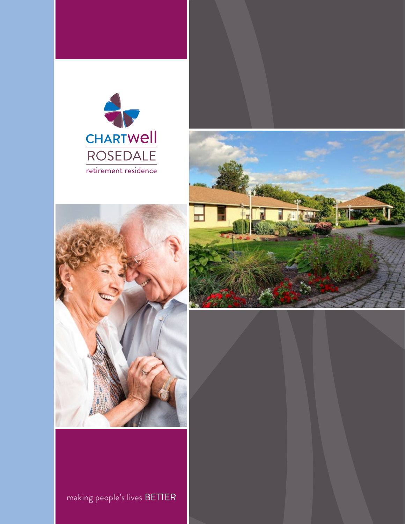





making people's lives BETTER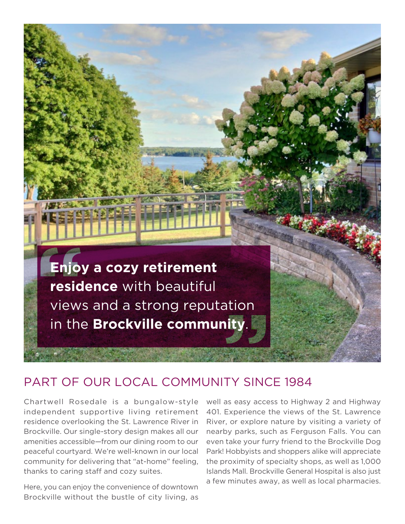

### PART OF OUR LOCAL COMMUNITY SINCE 1984

Chartwell Rosedale is a bungalow-style independent supportive living retirement residence overlooking the St. Lawrence River in Brockville. Our single-story design makes all our amenities accessible—from our dining room to our peaceful courtyard. We're well-known in our local community for delivering that "at-home" feeling, thanks to caring staff and cozy suites.

Here, you can enjoy the convenience of downtown Brockville without the bustle of city living, as well as easy access to Highway 2 and Highway 401. Experience the views of the St. Lawrence River, or explore nature by visiting a variety of nearby parks, such as Ferguson Falls. You can even take your furry friend to the Brockville Dog Park! Hobbyists and shoppers alike will appreciate the proximity of specialty shops, as well as 1,000 Islands Mall. Brockville General Hospital is also just a few minutes away, as well as local pharmacies.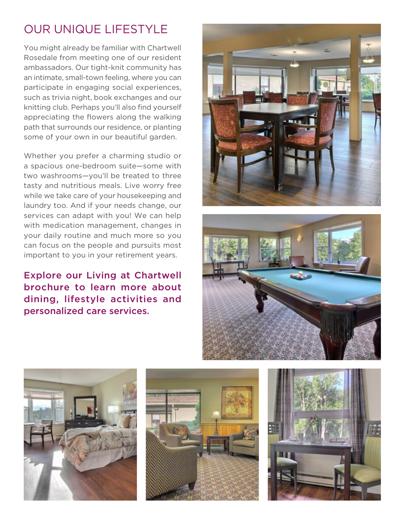# OUR UNIQUE LIFESTYLE

some of your own in our beautiful garden. You might already be familiar with Chartwell Rosedale from meeting one of our resident ambassadors. Our tight-knit community has an intimate, small-town feeling, where you can participate in engaging social experiences, such as trivia night, book exchanges and our knitting club. Perhaps you'll also find yourself appreciating the flowers along the walking path that surrounds our residence, or planting

Whether you prefer a charming studio or a spacious one-bedroom suite—some with two washrooms—you'll be treated to three tasty and nutritious meals. Live worry free while we take care of your housekeeping and laundry too. And if your needs change, our services can adapt with you! We can help with medication management, changes in your daily routine and much more so you can focus on the people and pursuits most important to you in your retirement years.

#### Explore our Living at Chartwell brochure to learn more about dining, lifestyle activities and personalized care services.









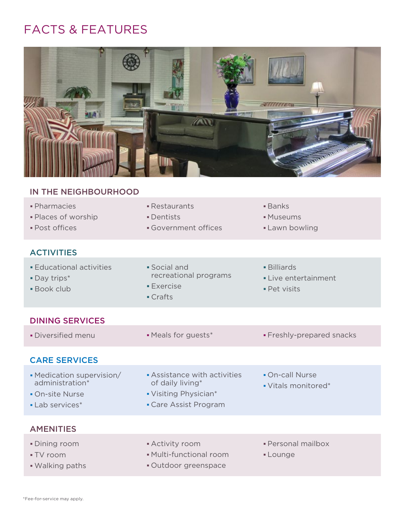## FACTS & FEATURES



#### IN THE NEIGHBOURHOOD

| · Pharmacies<br>· Places of worship<br>· Post offices                              | • Restaurants<br>• Dentists<br>• Government offices                                              | <b>Banks</b><br>• Museums<br>• Lawn bowling         |
|------------------------------------------------------------------------------------|--------------------------------------------------------------------------------------------------|-----------------------------------------------------|
| <b>ACTIVITIES</b>                                                                  |                                                                                                  |                                                     |
| <b>Educational activities</b><br>· Day trips*<br><b>Book club</b>                  | $\blacksquare$ Social and<br>recreational programs<br><b>Exercise</b><br>• Crafts                | • Billiards<br>• Live entertainment<br>· Pet visits |
| <b>DINING SERVICES</b>                                                             |                                                                                                  |                                                     |
| · Diversified menu                                                                 | • Meals for guests*                                                                              | • Freshly-prepared snacks                           |
| <b>CARE SERVICES</b>                                                               |                                                                                                  |                                                     |
| • Medication supervision/<br>administration*<br>• On-site Nurse<br>• Lab services* | Assistance with activities<br>of daily living*<br>• Visiting Physician*<br>• Care Assist Program | • On-call Nurse<br>• Vitals monitored*              |
| <b>AMENITIES</b>                                                                   |                                                                                                  |                                                     |
| • Dining room<br>■ TV room                                                         | • Activity room<br>• Multi-functional room                                                       | · Personal mailbox<br>• Lounge                      |

• Walking paths **COUT COUTS** • Outdoor greenspace